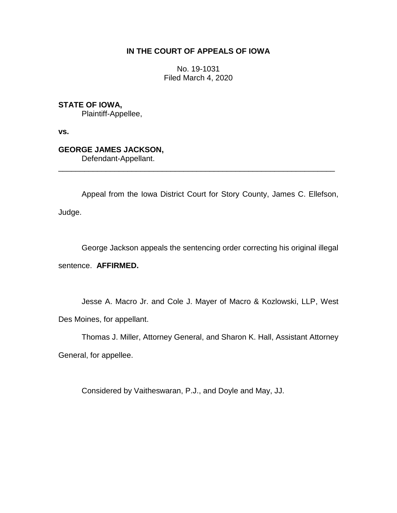## **IN THE COURT OF APPEALS OF IOWA**

No. 19-1031 Filed March 4, 2020

**STATE OF IOWA,**

Plaintiff-Appellee,

**vs.**

## **GEORGE JAMES JACKSON,**

Defendant-Appellant.

Appeal from the Iowa District Court for Story County, James C. Ellefson, Judge.

\_\_\_\_\_\_\_\_\_\_\_\_\_\_\_\_\_\_\_\_\_\_\_\_\_\_\_\_\_\_\_\_\_\_\_\_\_\_\_\_\_\_\_\_\_\_\_\_\_\_\_\_\_\_\_\_\_\_\_\_\_\_\_\_

George Jackson appeals the sentencing order correcting his original illegal

sentence. **AFFIRMED.**

Jesse A. Macro Jr. and Cole J. Mayer of Macro & Kozlowski, LLP, West Des Moines, for appellant.

Thomas J. Miller, Attorney General, and Sharon K. Hall, Assistant Attorney General, for appellee.

Considered by Vaitheswaran, P.J., and Doyle and May, JJ.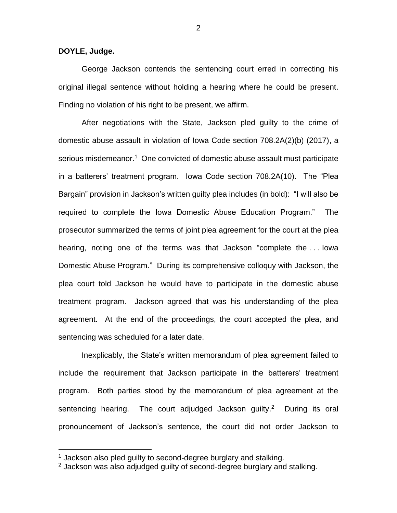**DOYLE, Judge.**

 $\overline{a}$ 

George Jackson contends the sentencing court erred in correcting his original illegal sentence without holding a hearing where he could be present. Finding no violation of his right to be present, we affirm.

After negotiations with the State, Jackson pled guilty to the crime of domestic abuse assault in violation of Iowa Code section 708.2A(2)(b) (2017), a serious misdemeanor.<sup>1</sup> One convicted of domestic abuse assault must participate in a batterers' treatment program. Iowa Code section 708.2A(10). The "Plea Bargain" provision in Jackson's written guilty plea includes (in bold): "I will also be required to complete the Iowa Domestic Abuse Education Program." The prosecutor summarized the terms of joint plea agreement for the court at the plea hearing, noting one of the terms was that Jackson "complete the . . . Iowa Domestic Abuse Program." During its comprehensive colloquy with Jackson, the plea court told Jackson he would have to participate in the domestic abuse treatment program. Jackson agreed that was his understanding of the plea agreement. At the end of the proceedings, the court accepted the plea, and sentencing was scheduled for a later date.

Inexplicably, the State's written memorandum of plea agreement failed to include the requirement that Jackson participate in the batterers' treatment program. Both parties stood by the memorandum of plea agreement at the sentencing hearing. The court adjudged Jackson guilty.<sup>2</sup> During its oral pronouncement of Jackson's sentence, the court did not order Jackson to

2

 $1$  Jackson also pled guilty to second-degree burglary and stalking.

<sup>2</sup> Jackson was also adjudged guilty of second-degree burglary and stalking.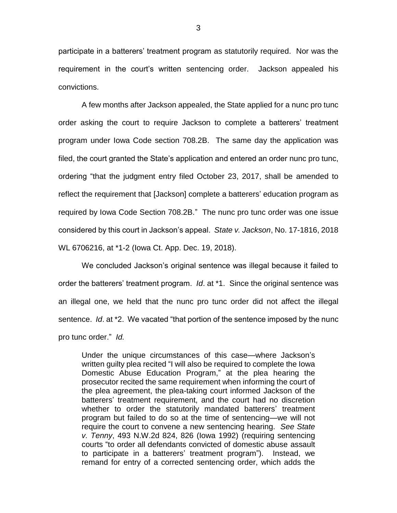participate in a batterers' treatment program as statutorily required. Nor was the requirement in the court's written sentencing order. Jackson appealed his convictions.

A few months after Jackson appealed, the State applied for a nunc pro tunc order asking the court to require Jackson to complete a batterers' treatment program under Iowa Code section 708.2B. The same day the application was filed, the court granted the State's application and entered an order nunc pro tunc, ordering "that the judgment entry filed October 23, 2017, shall be amended to reflect the requirement that [Jackson] complete a batterers' education program as required by Iowa Code Section 708.2B." The nunc pro tunc order was one issue considered by this court in Jackson's appeal. *State v. Jackson*, No. 17-1816, 2018 WL 6706216, at \*1-2 (Iowa Ct. App. Dec. 19, 2018).

We concluded Jackson's original sentence was illegal because it failed to order the batterers' treatment program. *Id*. at \*1. Since the original sentence was an illegal one, we held that the nunc pro tunc order did not affect the illegal sentence. *Id*. at \*2. We vacated "that portion of the sentence imposed by the nunc pro tunc order." *Id.*

Under the unique circumstances of this case—where Jackson's written guilty plea recited "I will also be required to complete the Iowa Domestic Abuse Education Program," at the plea hearing the prosecutor recited the same requirement when informing the court of the plea agreement, the plea-taking court informed Jackson of the batterers' treatment requirement, and the court had no discretion whether to order the statutorily mandated batterers' treatment program but failed to do so at the time of sentencing—we will not require the court to convene a new sentencing hearing. *See State v. Tenny*, 493 N.W.2d 824, 826 (Iowa 1992) (requiring sentencing courts "to order all defendants convicted of domestic abuse assault to participate in a batterers' treatment program"). Instead, we remand for entry of a corrected sentencing order, which adds the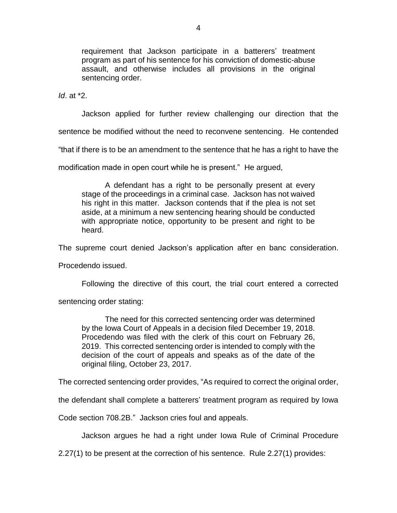requirement that Jackson participate in a batterers' treatment program as part of his sentence for his conviction of domestic-abuse assault, and otherwise includes all provisions in the original sentencing order.

*Id*. at \*2.

Jackson applied for further review challenging our direction that the

sentence be modified without the need to reconvene sentencing. He contended

"that if there is to be an amendment to the sentence that he has a right to have the

modification made in open court while he is present." He argued,

A defendant has a right to be personally present at every stage of the proceedings in a criminal case. Jackson has not waived his right in this matter. Jackson contends that if the plea is not set aside, at a minimum a new sentencing hearing should be conducted with appropriate notice, opportunity to be present and right to be heard.

The supreme court denied Jackson's application after en banc consideration.

Procedendo issued.

Following the directive of this court, the trial court entered a corrected

sentencing order stating:

The need for this corrected sentencing order was determined by the Iowa Court of Appeals in a decision filed December 19, 2018. Procedendo was filed with the clerk of this court on February 26, 2019. This corrected sentencing order is intended to comply with the decision of the court of appeals and speaks as of the date of the original filing, October 23, 2017.

The corrected sentencing order provides, "As required to correct the original order,

the defendant shall complete a batterers' treatment program as required by Iowa

Code section 708.2B."Jackson cries foul and appeals.

Jackson argues he had a right under Iowa Rule of Criminal Procedure

2.27(1) to be present at the correction of his sentence. Rule 2.27(1) provides: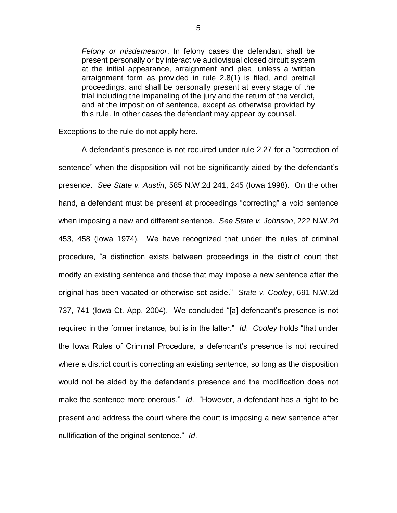*Felony or misdemeanor*. In felony cases the defendant shall be present personally or by interactive audiovisual closed circuit system at the initial appearance, arraignment and plea, unless a written arraignment form as provided in rule 2.8(1) is filed, and pretrial proceedings, and shall be personally present at every stage of the trial including the impaneling of the jury and the return of the verdict, and at the imposition of sentence, except as otherwise provided by this rule. In other cases the defendant may appear by counsel.

Exceptions to the rule do not apply here.

A defendant's presence is not required under rule 2.27 for a "correction of sentence" when the disposition will not be significantly aided by the defendant's presence. *See State v. Austin*, 585 N.W.2d 241, 245 (Iowa 1998). On the other hand, a defendant must be present at proceedings "correcting" a void sentence when imposing a new and different sentence. *See State v. Johnson*, 222 N.W.2d 453, 458 (Iowa 1974). We have recognized that under the rules of criminal procedure, "a distinction exists between proceedings in the district court that modify an existing sentence and those that may impose a new sentence after the original has been vacated or otherwise set aside." *State v. Cooley*, 691 N.W.2d 737, 741 (Iowa Ct. App. 2004). We concluded "[a] defendant's presence is not required in the former instance, but is in the latter." *Id*. *Cooley* holds "that under the Iowa Rules of Criminal Procedure, a defendant's presence is not required where a district court is correcting an existing sentence, so long as the disposition would not be aided by the defendant's presence and the modification does not make the sentence more onerous." *Id*. "However, a defendant has a right to be present and address the court where the court is imposing a new sentence after nullification of the original sentence." *Id*.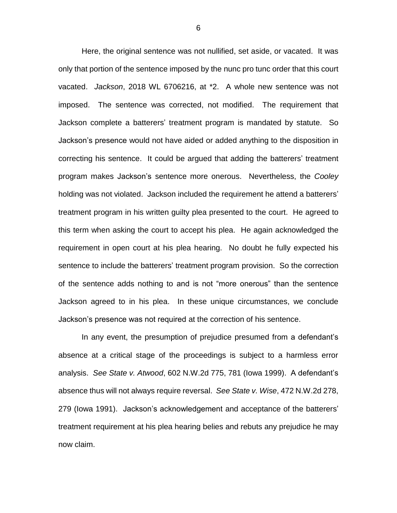Here, the original sentence was not nullified, set aside, or vacated. It was only that portion of the sentence imposed by the nunc pro tunc order that this court vacated. *Jackson*, 2018 WL 6706216, at \*2. A whole new sentence was not imposed. The sentence was corrected, not modified. The requirement that Jackson complete a batterers' treatment program is mandated by statute. So Jackson's presence would not have aided or added anything to the disposition in correcting his sentence. It could be argued that adding the batterers' treatment program makes Jackson's sentence more onerous. Nevertheless, the *Cooley* holding was not violated. Jackson included the requirement he attend a batterers' treatment program in his written guilty plea presented to the court. He agreed to this term when asking the court to accept his plea. He again acknowledged the requirement in open court at his plea hearing. No doubt he fully expected his sentence to include the batterers' treatment program provision. So the correction of the sentence adds nothing to and is not "more onerous" than the sentence Jackson agreed to in his plea. In these unique circumstances, we conclude Jackson's presence was not required at the correction of his sentence.

In any event, the presumption of prejudice presumed from a defendant's absence at a critical stage of the proceedings is subject to a harmless error analysis. *See State v. Atwood*, 602 N.W.2d 775, 781 (Iowa 1999). A defendant's absence thus will not always require reversal. *See State v. Wise*, 472 N.W.2d 278, 279 (Iowa 1991). Jackson's acknowledgement and acceptance of the batterers' treatment requirement at his plea hearing belies and rebuts any prejudice he may now claim.